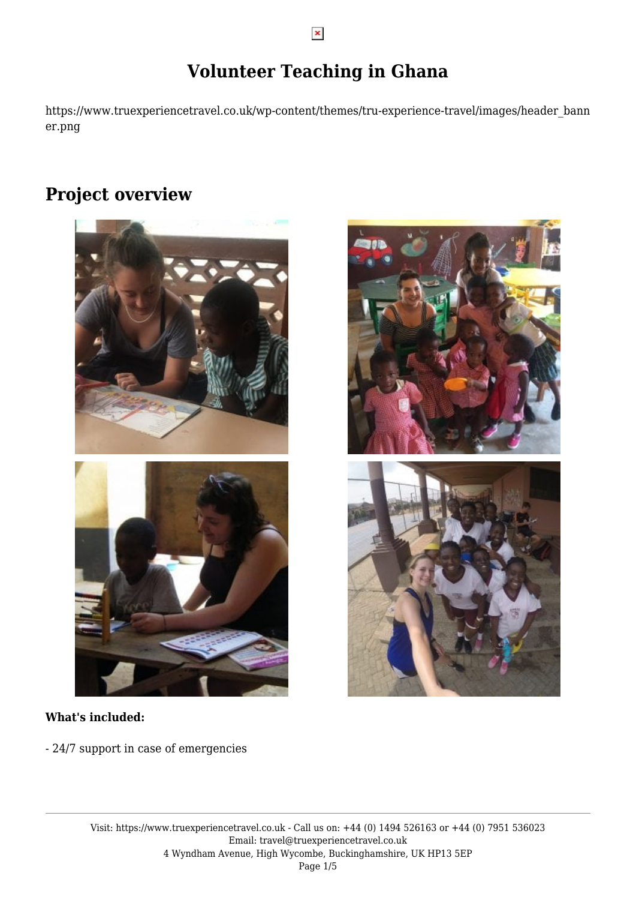# **Volunteer Teaching in Ghana**

https://www.truexperiencetravel.co.uk/wp-content/themes/tru-experience-travel/images/header\_bann er.png

## **Project overview**



#### **What's included:**

- 24/7 support in case of emergencies

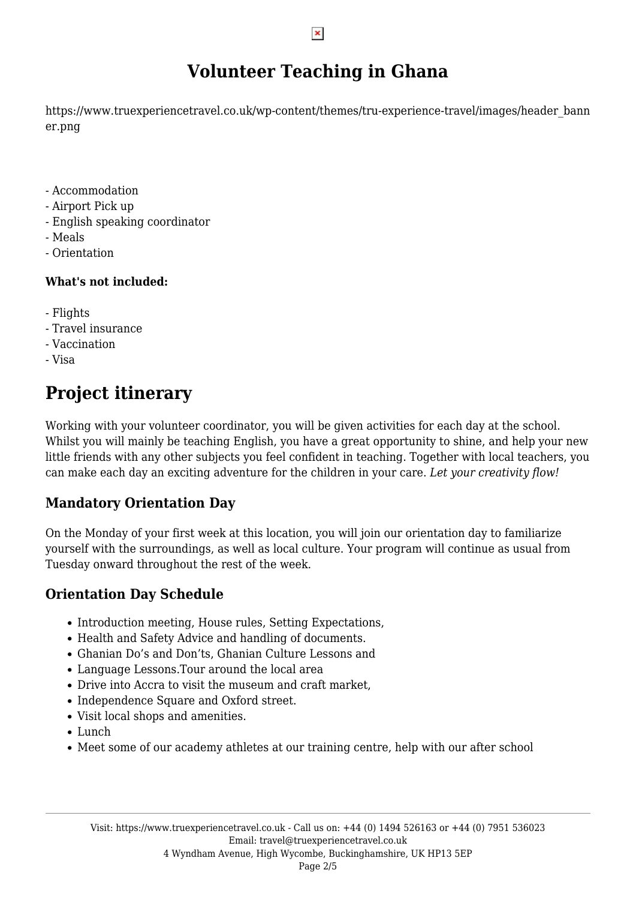## **Volunteer Teaching in Ghana**

https://www.truexperiencetravel.co.uk/wp-content/themes/tru-experience-travel/images/header\_bann er.png

- Accommodation
- Airport Pick up
- English speaking coordinator
- Meals
- Orientation

#### **What's not included:**

- Flights
- Travel insurance
- Vaccination
- Visa

# **Project itinerary**

Working with your volunteer coordinator, you will be given activities for each day at the school. Whilst you will mainly be teaching English, you have a great opportunity to shine, and help your new little friends with any other subjects you feel confident in teaching. Together with local teachers, you can make each day an exciting adventure for the children in your care. *Let your creativity flow!*

### **Mandatory Orientation Day**

On the Monday of your first week at this location, you will join our orientation day to familiarize yourself with the surroundings, as well as local culture. Your program will continue as usual from Tuesday onward throughout the rest of the week.

### **Orientation Day Schedule**

- Introduction meeting, House rules, Setting Expectations,
- Health and Safety Advice and handling of documents.
- Ghanian Do's and Don'ts, Ghanian Culture Lessons and
- Language Lessons.Tour around the local area
- Drive into Accra to visit the museum and craft market,
- Independence Square and Oxford street.
- Visit local shops and amenities.
- Lunch
- Meet some of our academy athletes at our training centre, help with our after school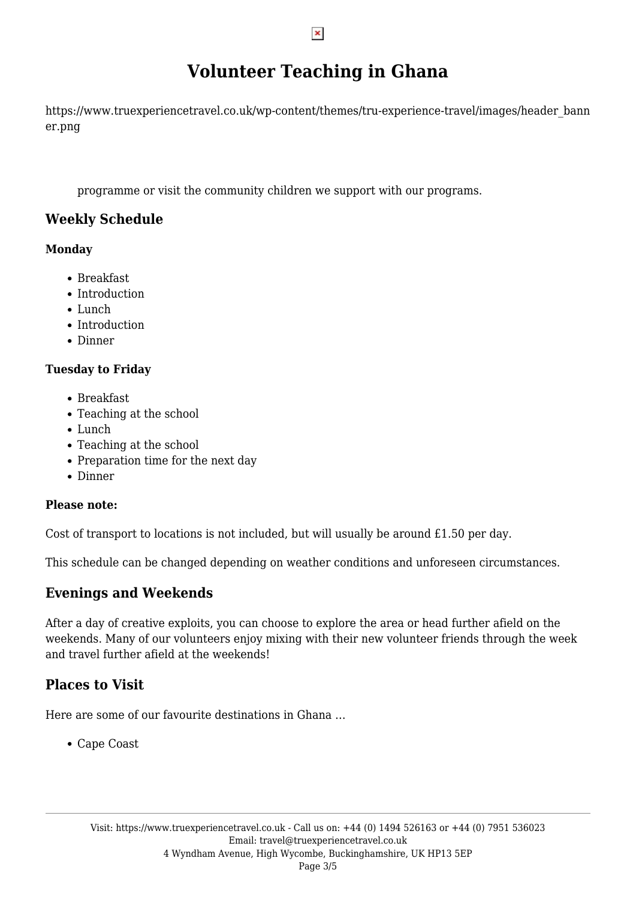## **Volunteer Teaching in Ghana**

https://www.truexperiencetravel.co.uk/wp-content/themes/tru-experience-travel/images/header\_bann er.png

programme or visit the community children we support with our programs.

### **Weekly Schedule**

#### **Monday**

- Breakfast
- Introduction
- Lunch
- Introduction
- Dinner

#### **Tuesday to Friday**

- Breakfast
- Teaching at the school
- Lunch
- Teaching at the school
- Preparation time for the next day
- Dinner

#### **Please note:**

Cost of transport to locations is not included, but will usually be around £1.50 per day.

This schedule can be changed depending on weather conditions and unforeseen circumstances.

### **Evenings and Weekends**

After a day of creative exploits, you can choose to explore the area or head further afield on the weekends. Many of our volunteers enjoy mixing with their new volunteer friends through the week and travel further afield at the weekends!

### **Places to Visit**

Here are some of our favourite destinations in Ghana …

Cape Coast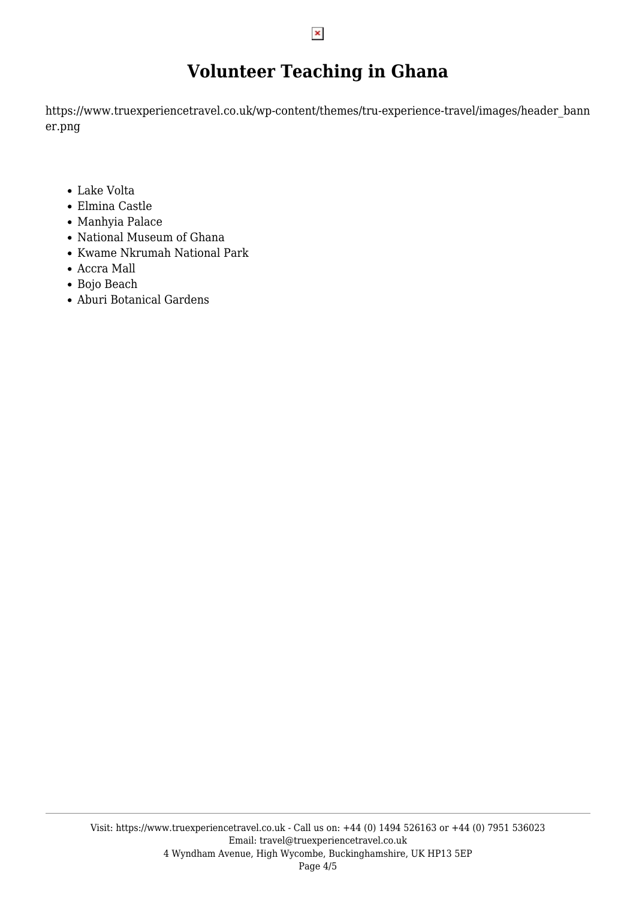## **Volunteer Teaching in Ghana**

https://www.truexperiencetravel.co.uk/wp-content/themes/tru-experience-travel/images/header\_bann er.png

- Lake Volta
- Elmina Castle
- Manhyia Palace
- National Museum of Ghana
- Kwame Nkrumah National Park
- Accra Mall
- Bojo Beach
- Aburi Botanical Gardens